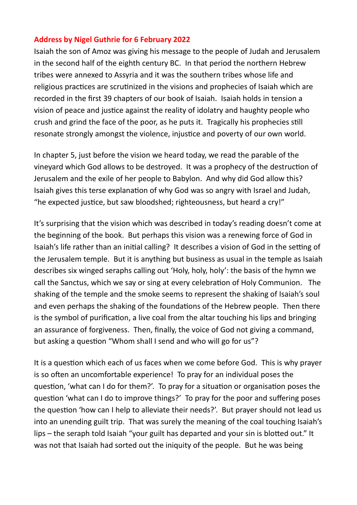## **Address by Nigel Guthrie for 6 February 2022**

Isaiah the son of Amoz was giving his message to the people of Judah and Jerusalem in the second half of the eighth century BC. In that period the northern Hebrew tribes were annexed to Assyria and it was the southern tribes whose life and religious practices are scrutinized in the visions and prophecies of Isaiah which are recorded in the first 39 chapters of our book of Isaiah. Isaiah holds in tension a vision of peace and justice against the reality of idolatry and haughty people who crush and grind the face of the poor, as he puts it. Tragically his prophecies still resonate strongly amongst the violence, injustice and poverty of our own world.

In chapter 5, just before the vision we heard today, we read the parable of the vineyard which God allows to be destroyed. It was a prophecy of the destruction of Jerusalem and the exile of her people to Babylon. And why did God allow this? Isaiah gives this terse explanation of why God was so angry with Israel and Judah, "he expected justice, but saw bloodshed; righteousness, but heard a cry!"

It's surprising that the vision which was described in today's reading doesn't come at the beginning of the book. But perhaps this vision was a renewing force of God in Isaiah's life rather than an initial calling? It describes a vision of God in the setting of the Jerusalem temple. But it is anything but business as usual in the temple as Isaiah describes six winged seraphs calling out 'Holy, holy, holy': the basis of the hymn we call the Sanctus, which we say or sing at every celebration of Holy Communion. The shaking of the temple and the smoke seems to represent the shaking of Isaiah's soul and even perhaps the shaking of the foundations of the Hebrew people. Then there is the symbol of purification, a live coal from the altar touching his lips and bringing an assurance of forgiveness. Then, finally, the voice of God not giving a command, but asking a question "Whom shall I send and who will go for us"?

It is a question which each of us faces when we come before God. This is why prayer is so often an uncomfortable experience! To pray for an individual poses the question, 'what can I do for them?'. To pray for a situation or organisation poses the question 'what can I do to improve things?' To pray for the poor and suffering poses the question 'how can I help to alleviate their needs?'. But prayer should not lead us into an unending guilt trip. That was surely the meaning of the coal touching Isaiah's lips – the seraph told Isaiah "your guilt has departed and your sin is blotted out." It was not that Isaiah had sorted out the iniquity of the people. But he was being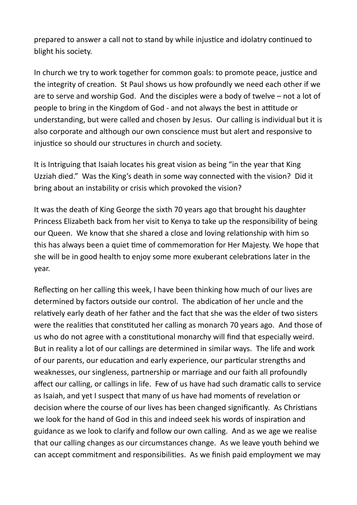prepared to answer a call not to stand by while injustice and idolatry continued to blight his society.

In church we try to work together for common goals: to promote peace, justice and the integrity of creation. St Paul shows us how profoundly we need each other if we are to serve and worship God. And the disciples were a body of twelve – not a lot of people to bring in the Kingdom of God - and not always the best in attitude or understanding, but were called and chosen by Jesus. Our calling is individual but it is also corporate and although our own conscience must but alert and responsive to injustice so should our structures in church and society.

It is Intriguing that Isaiah locates his great vision as being "in the year that King Uzziah died." Was the King's death in some way connected with the vision? Did it bring about an instability or crisis which provoked the vision?

It was the death of King George the sixth 70 years ago that brought his daughter Princess Elizabeth back from her visit to Kenya to take up the responsibility of being our Queen. We know that she shared a close and loving relationship with him so this has always been a quiet time of commemoration for Her Majesty. We hope that she will be in good health to enjoy some more exuberant celebrations later in the year.

Reflecting on her calling this week, I have been thinking how much of our lives are determined by factors outside our control. The abdication of her uncle and the relatively early death of her father and the fact that she was the elder of two sisters were the realities that constituted her calling as monarch 70 years ago. And those of us who do not agree with a constitutional monarchy will find that especially weird. But in reality a lot of our callings are determined in similar ways. The life and work of our parents, our education and early experience, our particular strengths and weaknesses, our singleness, partnership or marriage and our faith all profoundly affect our calling, or callings in life. Few of us have had such dramatic calls to service as Isaiah, and yet I suspect that many of us have had moments of revelation or decision where the course of our lives has been changed significantly. As Christians we look for the hand of God in this and indeed seek his words of inspiration and guidance as we look to clarify and follow our own calling. And as we age we realise that our calling changes as our circumstances change. As we leave youth behind we can accept commitment and responsibilities. As we finish paid employment we may